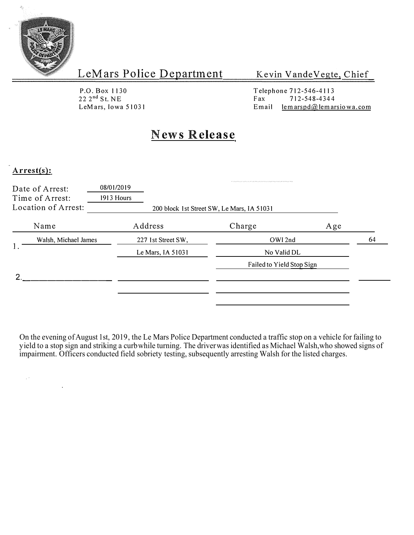

Kevin Vande Vegte, Chief

P.O. Box 1130<br>22 2<sup>nd</sup> St. NE

Telephone 712-546-4113  $22 \t2<sup>nd</sup> St. NE$ <br>  $LeMars, Iowa 51031$ <br>  $Email$   $lemarspd@lemar$ Email lemarspd $@$  lemarsiowa.com

# **News Release**

#### **Arrest(s):**

 $\mathbb{R}^d$ 

| 08/01/2019         |                           |                                            |
|--------------------|---------------------------|--------------------------------------------|
| Address            | Charge                    | Age                                        |
| 227 1st Street SW, | OWI 2nd                   | 64                                         |
| Le Mars, IA 51031  | No Valid DL               |                                            |
|                    | Failed to Yield Stop Sign |                                            |
|                    |                           |                                            |
|                    |                           |                                            |
|                    | 1913 Hours                | 200 block 1st Street SW, Le Mars, IA 51031 |

On the evening of August 1st, 2019, the Le Mars Police Department conducted a traffic stop on a vehicle for failing to yield to a stop sign and striking a curb while turning. The driver was identified as Michael Walsh,who showed signs of impairment. Officers conducted field sobriety testing, subsequently arresting Walsh for the listed charges.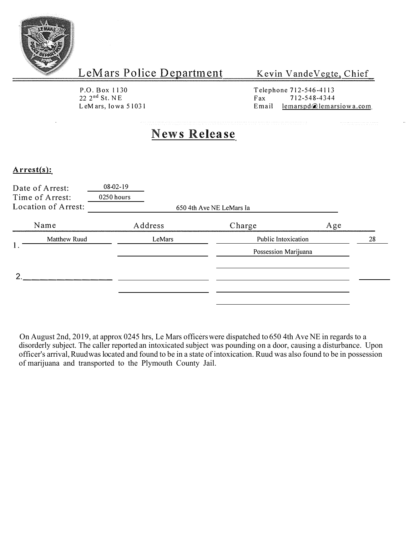

Kevin Vande Vegte, Chief

P.O. Box 1130 22 2 nd St. NE LeMars, Iowa 51031 Telephone 712-546-4113 Fax 712-548-4344<br>Email lemarspd@lemar  $lemarspd$  emarsiow a.com

# **News Release**

#### **Arrest(s):**

|   | Date of Arrest:<br>Time of Arrest:<br>Location of Arrest: | $08 - 02 - 19$<br>0250 hours | 650 4th Ave NE LeMars Ia |     |  |
|---|-----------------------------------------------------------|------------------------------|--------------------------|-----|--|
|   | Name                                                      | Address                      | Charge                   | Age |  |
|   | Matthew Ruud                                              | LeMars                       | Public Intoxication      | 28  |  |
|   |                                                           |                              | Possession Marijuana     |     |  |
| ≘ |                                                           |                              |                          |     |  |
|   |                                                           |                              |                          |     |  |

On August 2nd, 2019, at approx 0245 hrs, Le Mars officers were dispatched to 650 4th Ave NE in regards to a disorderly subject. The caller reported an intoxicated subject was pounding on a door, causing a disturbance. Upon officer's arrival, Ruud waslocated and found to be in a state of intoxication. Ruud was also found to be in possession of marijuana and transported to the Plymouth County Jail.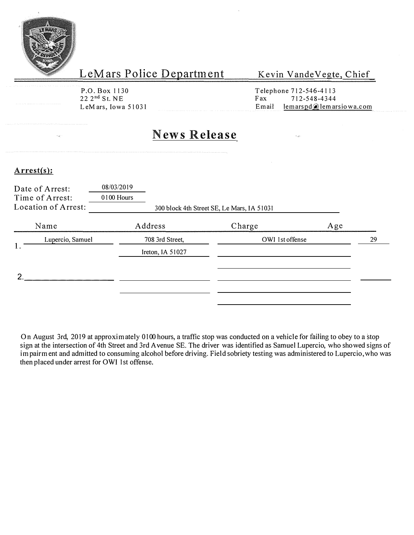

#### Kevin Vande Vegte, Chief

P.O. Box 1130<br>22 2<sup>nd</sup> St. NE

Telephone 712-546-4113<br>Fax 712-548-4344  $22 \cdot 2^{\text{nd}}$  St. NE Fax  $712-548-4344$ <br>LeMars, Iowa 51031 Email lemarspd email  $l$  emarspd $@$  lemarsiowa.com

# **News Release**

#### **Arrest(s):**

|    | Date of Arrest:<br>Time of Arrest:<br>Location of Arrest: | 08/03/2019<br>0100 Hours | 300 block 4th Street SE, Le Mars, IA 51031 |        |                 |    |
|----|-----------------------------------------------------------|--------------------------|--------------------------------------------|--------|-----------------|----|
|    | Name                                                      | Address                  |                                            | Charge | Age             |    |
|    | Lupercio, Samuel                                          |                          | 708 3rd Street,                            |        | OWI 1st offense | 29 |
| 1. |                                                           |                          | Ireton, IA 51027                           |        |                 |    |
|    |                                                           |                          |                                            |        |                 |    |
|    |                                                           |                          |                                            |        |                 |    |

On August 3rd, 2019 at approximately 0100 hours, a traffic stop was conducted on a vehicle for failing to obey to a stop sign at the intersection of 4th Street and 3rd A venue SE. The driver was identified as Samuel Lupercio, who showed signs of impairment and admitted to consuming alcohol before driving. Field sobriety testing was administered to Lupercio, who was then placed under arrest for OWI 1st offense.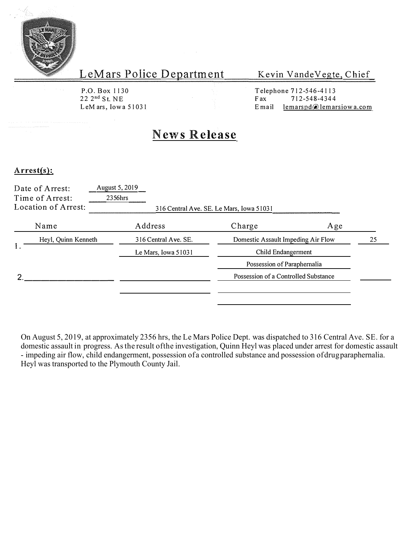

#### Kevin VandeVegte, Chief

P.O. Box 1130 22 2 nd S t. NE

Telephone 712-546-4113<br>Fax 712-548-4344 Fax 712-548-4344<br>Email lemarspd@lemar Le M ars, Iowa 51031 **E** mail lemarspd lemarsiow a.com

# **News Release**

#### **Arrest(s):**

|                     | Date of Arrest:<br>Time of Arrest:<br>Location of Arrest: | August 5, 2019<br>2356hrs |                                                          | 316 Central Ave. SE. Le Mars, Iowa 51031 |     |  |
|---------------------|-----------------------------------------------------------|---------------------------|----------------------------------------------------------|------------------------------------------|-----|--|
|                     | Name                                                      | Address                   |                                                          | Charge                                   | Age |  |
| Heyl, Quinn Kenneth |                                                           | 316 Central Ave. SE.      | Domestic Assault Impeding Air Flow<br>Child Endangerment |                                          | 25  |  |
|                     | Le Mars, Iowa 51031<br>Possession of Paraphernalia        |                           |                                                          |                                          |     |  |
|                     |                                                           |                           |                                                          |                                          |     |  |
|                     |                                                           |                           |                                                          | Possession of a Controlled Substance     |     |  |
|                     |                                                           |                           |                                                          |                                          |     |  |

On August 5, 2019, at approximately 2356 hrs, the Le Mars Police Dept. was dispatched to 316 Central Ave. SE. for a domestic assault in progress. As the result of the investigation, Quinn Heyl was placed under arrest for domestic assault - impeding air flow, child endangerment, possession of a controlled substance and possession of drug paraphernalia. Heyl was transported to the Plymouth County Jail.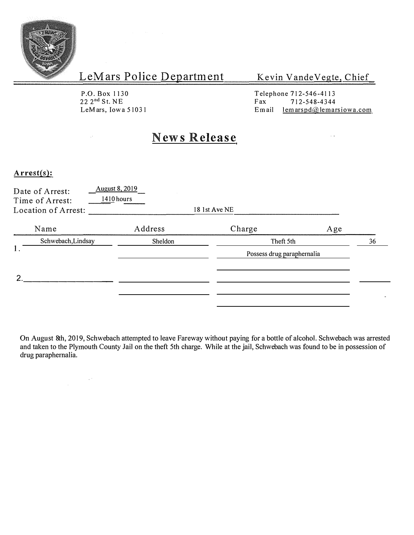

#### Kevin Vande Vegte, Chief

P.O. Box 1130 22 2 nd S t. NE LeMars, Iowa 51031

in.

Telephone 712-546-4113<br>Fax 712-548-4344 Fax  $712-548-4344$ <br>Email lemarspd $@$ lemar  $lemarspd@$  lemarsiowa.com

 $\hat{\mathcal{L}}$ 

### **News Release**

#### **Arrest(s):**

| Date of Arrest:<br>Time of Arrest:<br>Location of Arrest: | <b>August 8, 2019</b><br>$1410$ hours | 18 1st Ave NE              |     |    |
|-----------------------------------------------------------|---------------------------------------|----------------------------|-----|----|
| Name                                                      | Address                               | Charge                     | Age |    |
| Schwebach, Lindsay                                        | Sheldon                               | Theft 5th                  |     | 36 |
|                                                           |                                       | Possess drug paraphernalia |     |    |
| 2                                                         |                                       |                            |     |    |
|                                                           |                                       |                            |     |    |

On August 8th, 2019, Schwebach attempted to leave Fareway without paying for a bottle of alcohol. Schwebach was arrested and taken to the Plymouth County Jail on the theft 5th charge. While at the jail, Schwebach was found to be in possession of drug paraphernalia.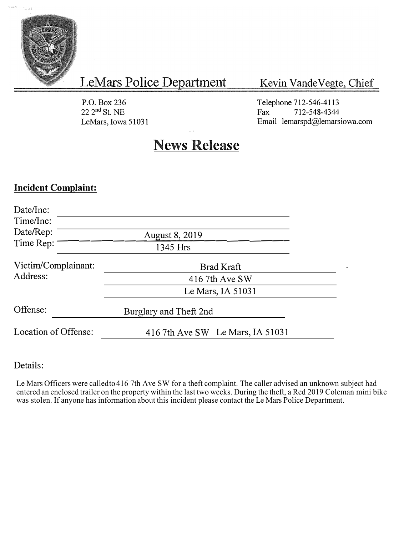

 $\hat{\epsilon}_{01\pm\frac{1}{2}}$ 

LeMars Police Department

### Kevin Vande Vegte, Chief

P.O. Box236 22 2 nd St. NE LeMars, Iowa 51031 Telephone 712-546-4113 Fax 712-548-4344 Email lemarspd@lemarsiowa.com

# **News Release**

### **Incident Complaint:**

| Date/Inc:<br>Time/Inc: |                                  |  |
|------------------------|----------------------------------|--|
| Date/Rep:              | <b>August 8, 2019</b>            |  |
| Time Rep:              | 1345 Hrs                         |  |
| Victim/Complainant:    | Brad Kraft                       |  |
| Address:               | 416 7th Ave SW                   |  |
|                        | Le Mars, IA $51031$              |  |
| Offense:               | Burglary and Theft 2nd           |  |
| Location of Offense:   | 416 7th Ave SW Le Mars, IA 51031 |  |

### Details:

t Le Mars Officers were called to 416 7th Ave SW for a theft complaint. The caller advised an unknown subject had entered an enclosed trailer on the property within the last two weeks. During the theft, a Red 2019 Coleman mini bike was stolen. If anyone has information about this incident please contact the Le Mars Police Department.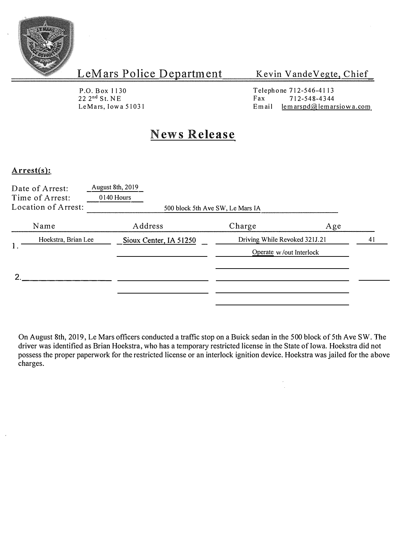

#### Kevin Vande Vegte, Chief

P.O. Box 1130<br>22 2<sup>nd</sup> St. NE

Telephone 712-546-41 13  $22 \t2^{nd}$  St. NE Fax 712-548-4344<br>LeMars, Iowa 51031 Email lemarspd@lemar  $l$ em arspd $@$  lemarsiowa.com

## **News Release**

#### **Arrest(s):**

| Date of Arrest:<br>Time of Arrest:<br>Location of Arrest: | <b>August 8th, 2019</b><br>0140 Hours | 500 block 5th Ave SW, Le Mars IA |     |    |
|-----------------------------------------------------------|---------------------------------------|----------------------------------|-----|----|
| Name                                                      | Address                               | Charge                           | Age |    |
| Hoekstra, Brian Lee                                       | Sioux Center, IA 51250                | Driving While Revoked 321J.21    |     | 41 |
| 1.                                                        |                                       | Operate w/out Interlock          |     |    |
|                                                           |                                       |                                  |     |    |
|                                                           |                                       |                                  |     |    |

On August 8th, 2019, Le Mars officers conducted a traffic stop on a Buick sedan in the 500 block of 5th Ave SW. The driver was identified as Brian Hoekstra, who has a temporary restricted license in the State of Iowa. Hoekstra did not possess the proper paperwork for the restricted license or an interlock ignition device. Hoekstra was jailed for the above charges.